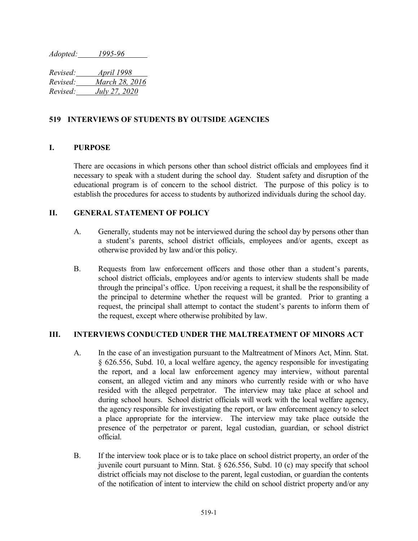*Adopted: 1995-96*

*Revised: April 1998 Revised: March 28, 2016 Revised: July 27, 2020*

## **519 INTERVIEWS OF STUDENTS BY OUTSIDE AGENCIES**

## **I. PURPOSE**

There are occasions in which persons other than school district officials and employees find it necessary to speak with a student during the school day. Student safety and disruption of the educational program is of concern to the school district. The purpose of this policy is to establish the procedures for access to students by authorized individuals during the school day.

## **II. GENERAL STATEMENT OF POLICY**

- A. Generally, students may not be interviewed during the school day by persons other than a student's parents, school district officials, employees and/or agents, except as otherwise provided by law and/or this policy.
- B. Requests from law enforcement officers and those other than a student's parents, school district officials, employees and/or agents to interview students shall be made through the principal's office. Upon receiving a request, it shall be the responsibility of the principal to determine whether the request will be granted. Prior to granting a request, the principal shall attempt to contact the student's parents to inform them of the request, except where otherwise prohibited by law.

## **III. INTERVIEWS CONDUCTED UNDER THE MALTREATMENT OF MINORS ACT**

- A. In the case of an investigation pursuant to the Maltreatment of Minors Act, Minn. Stat. § 626.556, Subd. 10, a local welfare agency, the agency responsible for investigating the report, and a local law enforcement agency may interview, without parental consent, an alleged victim and any minors who currently reside with or who have resided with the alleged perpetrator. The interview may take place at school and during school hours. School district officials will work with the local welfare agency, the agency responsible for investigating the report, or law enforcement agency to select a place appropriate for the interview. The interview may take place outside the presence of the perpetrator or parent, legal custodian, guardian, or school district official.
- B. If the interview took place or is to take place on school district property, an order of the juvenile court pursuant to Minn. Stat. § 626.556, Subd. 10 (c) may specify that school district officials may not disclose to the parent, legal custodian, or guardian the contents of the notification of intent to interview the child on school district property and/or any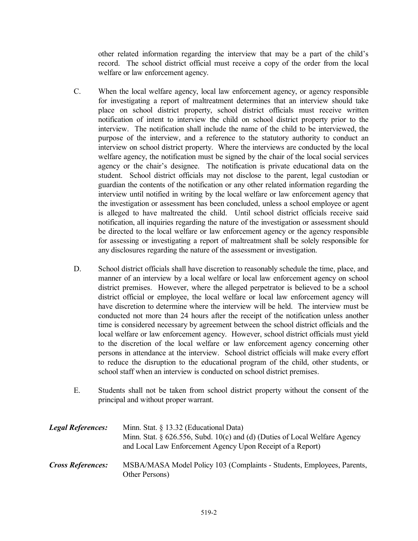other related information regarding the interview that may be a part of the child's record. The school district official must receive a copy of the order from the local welfare or law enforcement agency.

- C. When the local welfare agency, local law enforcement agency, or agency responsible for investigating a report of maltreatment determines that an interview should take place on school district property, school district officials must receive written notification of intent to interview the child on school district property prior to the interview. The notification shall include the name of the child to be interviewed, the purpose of the interview, and a reference to the statutory authority to conduct an interview on school district property. Where the interviews are conducted by the local welfare agency, the notification must be signed by the chair of the local social services agency or the chair's designee. The notification is private educational data on the student. School district officials may not disclose to the parent, legal custodian or guardian the contents of the notification or any other related information regarding the interview until notified in writing by the local welfare or law enforcement agency that the investigation or assessment has been concluded, unless a school employee or agent is alleged to have maltreated the child. Until school district officials receive said notification, all inquiries regarding the nature of the investigation or assessment should be directed to the local welfare or law enforcement agency or the agency responsible for assessing or investigating a report of maltreatment shall be solely responsible for any disclosures regarding the nature of the assessment or investigation.
- D. School district officials shall have discretion to reasonably schedule the time, place, and manner of an interview by a local welfare or local law enforcement agency on school district premises. However, where the alleged perpetrator is believed to be a school district official or employee, the local welfare or local law enforcement agency will have discretion to determine where the interview will be held. The interview must be conducted not more than 24 hours after the receipt of the notification unless another time is considered necessary by agreement between the school district officials and the local welfare or law enforcement agency. However, school district officials must yield to the discretion of the local welfare or law enforcement agency concerning other persons in attendance at the interview. School district officials will make every effort to reduce the disruption to the educational program of the child, other students, or school staff when an interview is conducted on school district premises.
- E. Students shall not be taken from school district property without the consent of the principal and without proper warrant.

| <b>Legal References:</b> | Minn. Stat. § 13.32 (Educational Data)<br>Minn. Stat. $\S$ 626.556, Subd. 10(c) and (d) (Duties of Local Welfare Agency<br>and Local Law Enforcement Agency Upon Receipt of a Report) |
|--------------------------|---------------------------------------------------------------------------------------------------------------------------------------------------------------------------------------|
| <b>Cross References:</b> | MSBA/MASA Model Policy 103 (Complaints - Students, Employees, Parents,<br>Other Persons)                                                                                              |